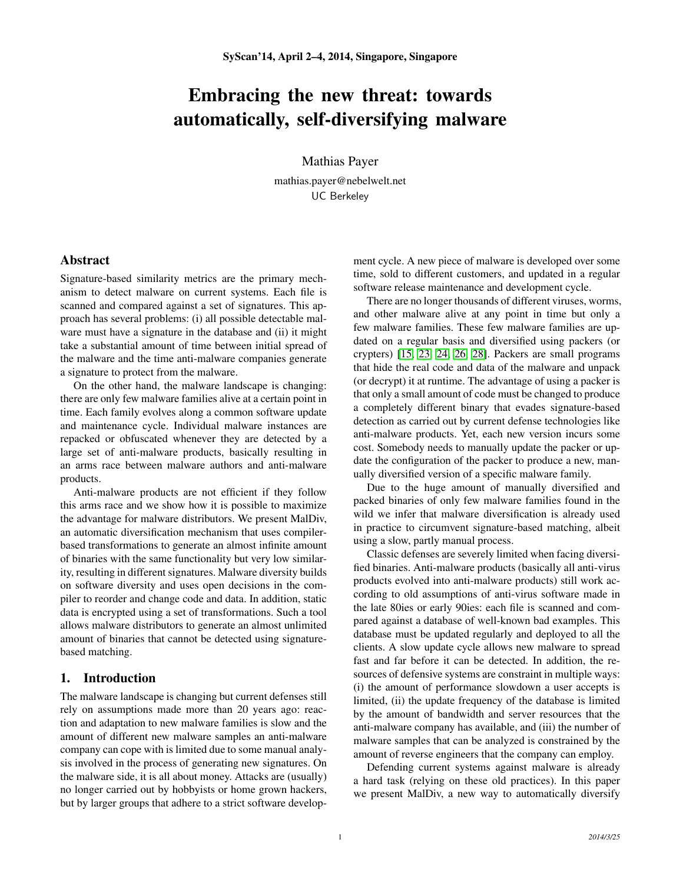# Embracing the new threat: towards automatically, self-diversifying malware

Mathias Payer

mathias.payer@nebelwelt.net UC Berkeley

## Abstract

Signature-based similarity metrics are the primary mechanism to detect malware on current systems. Each file is scanned and compared against a set of signatures. This approach has several problems: (i) all possible detectable malware must have a signature in the database and (ii) it might take a substantial amount of time between initial spread of the malware and the time anti-malware companies generate a signature to protect from the malware.

On the other hand, the malware landscape is changing: there are only few malware families alive at a certain point in time. Each family evolves along a common software update and maintenance cycle. Individual malware instances are repacked or obfuscated whenever they are detected by a large set of anti-malware products, basically resulting in an arms race between malware authors and anti-malware products.

Anti-malware products are not efficient if they follow this arms race and we show how it is possible to maximize the advantage for malware distributors. We present MalDiv, an automatic diversification mechanism that uses compilerbased transformations to generate an almost infinite amount of binaries with the same functionality but very low similarity, resulting in different signatures. Malware diversity builds on software diversity and uses open decisions in the compiler to reorder and change code and data. In addition, static data is encrypted using a set of transformations. Such a tool allows malware distributors to generate an almost unlimited amount of binaries that cannot be detected using signaturebased matching.

# 1. Introduction

The malware landscape is changing but current defenses still rely on assumptions made more than 20 years ago: reaction and adaptation to new malware families is slow and the amount of different new malware samples an anti-malware company can cope with is limited due to some manual analysis involved in the process of generating new signatures. On the malware side, it is all about money. Attacks are (usually) no longer carried out by hobbyists or home grown hackers, but by larger groups that adhere to a strict software development cycle. A new piece of malware is developed over some time, sold to different customers, and updated in a regular software release maintenance and development cycle.

There are no longer thousands of different viruses, worms, and other malware alive at any point in time but only a few malware families. These few malware families are updated on a regular basis and diversified using packers (or crypters) [\[15,](#page-4-0) [23,](#page-4-1) [24,](#page-4-2) [26,](#page-4-3) [28\]](#page-4-4). Packers are small programs that hide the real code and data of the malware and unpack (or decrypt) it at runtime. The advantage of using a packer is that only a small amount of code must be changed to produce a completely different binary that evades signature-based detection as carried out by current defense technologies like anti-malware products. Yet, each new version incurs some cost. Somebody needs to manually update the packer or update the configuration of the packer to produce a new, manually diversified version of a specific malware family.

Due to the huge amount of manually diversified and packed binaries of only few malware families found in the wild we infer that malware diversification is already used in practice to circumvent signature-based matching, albeit using a slow, partly manual process.

Classic defenses are severely limited when facing diversified binaries. Anti-malware products (basically all anti-virus products evolved into anti-malware products) still work according to old assumptions of anti-virus software made in the late 80ies or early 90ies: each file is scanned and compared against a database of well-known bad examples. This database must be updated regularly and deployed to all the clients. A slow update cycle allows new malware to spread fast and far before it can be detected. In addition, the resources of defensive systems are constraint in multiple ways: (i) the amount of performance slowdown a user accepts is limited, (ii) the update frequency of the database is limited by the amount of bandwidth and server resources that the anti-malware company has available, and (iii) the number of malware samples that can be analyzed is constrained by the amount of reverse engineers that the company can employ.

Defending current systems against malware is already a hard task (relying on these old practices). In this paper we present MalDiv, a new way to automatically diversify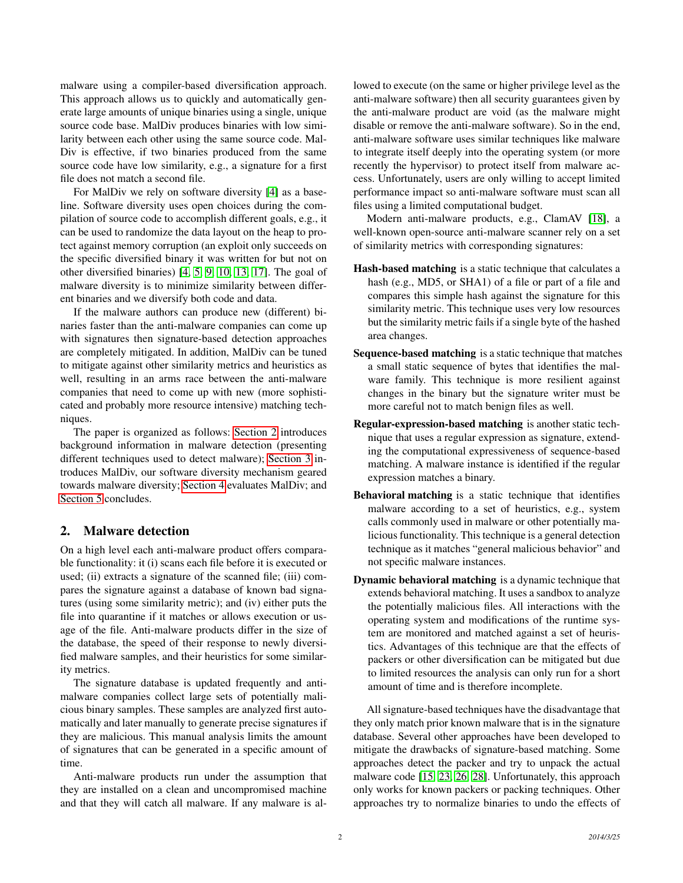malware using a compiler-based diversification approach. This approach allows us to quickly and automatically generate large amounts of unique binaries using a single, unique source code base. MalDiv produces binaries with low similarity between each other using the same source code. Mal-Div is effective, if two binaries produced from the same source code have low similarity, e.g., a signature for a first file does not match a second file.

For MalDiv we rely on software diversity [\[4\]](#page-4-5) as a baseline. Software diversity uses open choices during the compilation of source code to accomplish different goals, e.g., it can be used to randomize the data layout on the heap to protect against memory corruption (an exploit only succeeds on the specific diversified binary it was written for but not on other diversified binaries) [\[4,](#page-4-5) [5,](#page-4-6) [9,](#page-4-7) [10,](#page-4-8) [13,](#page-4-9) [17\]](#page-4-10). The goal of malware diversity is to minimize similarity between different binaries and we diversify both code and data.

If the malware authors can produce new (different) binaries faster than the anti-malware companies can come up with signatures then signature-based detection approaches are completely mitigated. In addition, MalDiv can be tuned to mitigate against other similarity metrics and heuristics as well, resulting in an arms race between the anti-malware companies that need to come up with new (more sophisticated and probably more resource intensive) matching techniques.

The paper is organized as follows: [Section 2](#page-1-0) introduces background information in malware detection (presenting different techniques used to detect malware); [Section 3](#page-2-0) introduces MalDiv, our software diversity mechanism geared towards malware diversity; [Section 4](#page-3-0) evaluates MalDiv; and [Section 5](#page-3-1) concludes.

# <span id="page-1-0"></span>2. Malware detection

On a high level each anti-malware product offers comparable functionality: it (i) scans each file before it is executed or used; (ii) extracts a signature of the scanned file; (iii) compares the signature against a database of known bad signatures (using some similarity metric); and (iv) either puts the file into quarantine if it matches or allows execution or usage of the file. Anti-malware products differ in the size of the database, the speed of their response to newly diversified malware samples, and their heuristics for some similarity metrics.

The signature database is updated frequently and antimalware companies collect large sets of potentially malicious binary samples. These samples are analyzed first automatically and later manually to generate precise signatures if they are malicious. This manual analysis limits the amount of signatures that can be generated in a specific amount of time.

Anti-malware products run under the assumption that they are installed on a clean and uncompromised machine and that they will catch all malware. If any malware is allowed to execute (on the same or higher privilege level as the anti-malware software) then all security guarantees given by the anti-malware product are void (as the malware might disable or remove the anti-malware software). So in the end, anti-malware software uses similar techniques like malware to integrate itself deeply into the operating system (or more recently the hypervisor) to protect itself from malware access. Unfortunately, users are only willing to accept limited performance impact so anti-malware software must scan all files using a limited computational budget.

Modern anti-malware products, e.g., ClamAV [\[18\]](#page-4-11), a well-known open-source anti-malware scanner rely on a set of similarity metrics with corresponding signatures:

- Hash-based matching is a static technique that calculates a hash (e.g., MD5, or SHA1) of a file or part of a file and compares this simple hash against the signature for this similarity metric. This technique uses very low resources but the similarity metric fails if a single byte of the hashed area changes.
- Sequence-based matching is a static technique that matches a small static sequence of bytes that identifies the malware family. This technique is more resilient against changes in the binary but the signature writer must be more careful not to match benign files as well.
- Regular-expression-based matching is another static technique that uses a regular expression as signature, extending the computational expressiveness of sequence-based matching. A malware instance is identified if the regular expression matches a binary.
- Behavioral matching is a static technique that identifies malware according to a set of heuristics, e.g., system calls commonly used in malware or other potentially malicious functionality. This technique is a general detection technique as it matches "general malicious behavior" and not specific malware instances.
- Dynamic behavioral matching is a dynamic technique that extends behavioral matching. It uses a sandbox to analyze the potentially malicious files. All interactions with the operating system and modifications of the runtime system are monitored and matched against a set of heuristics. Advantages of this technique are that the effects of packers or other diversification can be mitigated but due to limited resources the analysis can only run for a short amount of time and is therefore incomplete.

All signature-based techniques have the disadvantage that they only match prior known malware that is in the signature database. Several other approaches have been developed to mitigate the drawbacks of signature-based matching. Some approaches detect the packer and try to unpack the actual malware code [\[15,](#page-4-0) [23,](#page-4-1) [26,](#page-4-3) [28\]](#page-4-4). Unfortunately, this approach only works for known packers or packing techniques. Other approaches try to normalize binaries to undo the effects of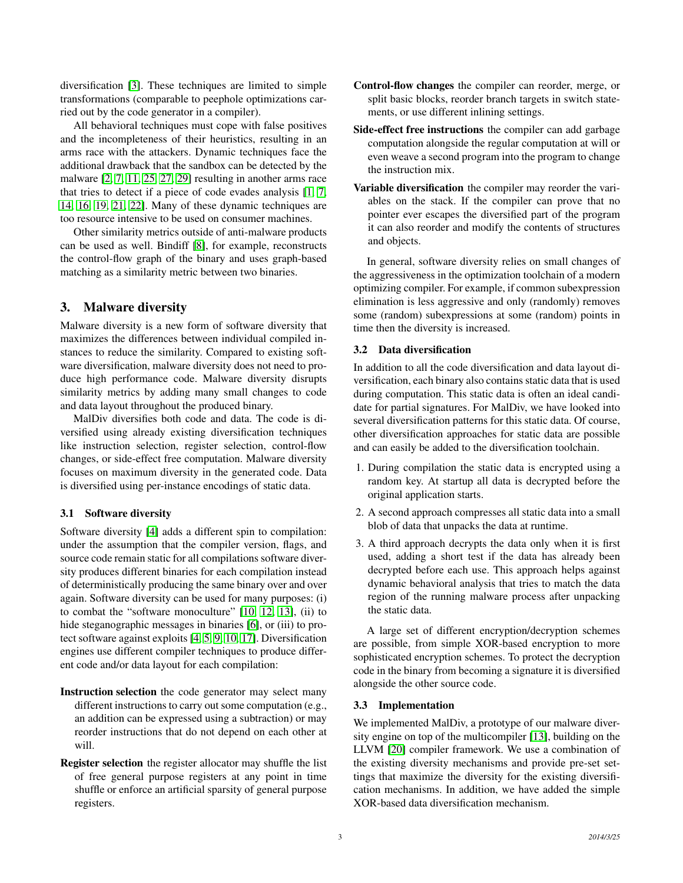diversification [\[3\]](#page-4-12). These techniques are limited to simple transformations (comparable to peephole optimizations carried out by the code generator in a compiler).

All behavioral techniques must cope with false positives and the incompleteness of their heuristics, resulting in an arms race with the attackers. Dynamic techniques face the additional drawback that the sandbox can be detected by the malware [\[2,](#page-4-13) [7,](#page-4-14) [11,](#page-4-15) [25,](#page-4-16) [27,](#page-4-17) [29\]](#page-4-18) resulting in another arms race that tries to detect if a piece of code evades analysis [\[1,](#page-4-19) [7,](#page-4-14) [14,](#page-4-20) [16,](#page-4-21) [19,](#page-4-22) [21,](#page-4-23) [22\]](#page-4-24). Many of these dynamic techniques are too resource intensive to be used on consumer machines.

Other similarity metrics outside of anti-malware products can be used as well. Bindiff [\[8\]](#page-4-25), for example, reconstructs the control-flow graph of the binary and uses graph-based matching as a similarity metric between two binaries.

# <span id="page-2-0"></span>3. Malware diversity

Malware diversity is a new form of software diversity that maximizes the differences between individual compiled instances to reduce the similarity. Compared to existing software diversification, malware diversity does not need to produce high performance code. Malware diversity disrupts similarity metrics by adding many small changes to code and data layout throughout the produced binary.

MalDiv diversifies both code and data. The code is diversified using already existing diversification techniques like instruction selection, register selection, control-flow changes, or side-effect free computation. Malware diversity focuses on maximum diversity in the generated code. Data is diversified using per-instance encodings of static data.

# 3.1 Software diversity

Software diversity [\[4\]](#page-4-5) adds a different spin to compilation: under the assumption that the compiler version, flags, and source code remain static for all compilations software diversity produces different binaries for each compilation instead of deterministically producing the same binary over and over again. Software diversity can be used for many purposes: (i) to combat the "software monoculture" [\[10,](#page-4-8) [12,](#page-4-26) [13\]](#page-4-9), (ii) to hide steganographic messages in binaries [\[6\]](#page-4-27), or (iii) to protect software against exploits [\[4,](#page-4-5) [5,](#page-4-6) [9,](#page-4-7) [10,](#page-4-8) [17\]](#page-4-10). Diversification engines use different compiler techniques to produce different code and/or data layout for each compilation:

- Instruction selection the code generator may select many different instructions to carry out some computation (e.g., an addition can be expressed using a subtraction) or may reorder instructions that do not depend on each other at will.
- Register selection the register allocator may shuffle the list of free general purpose registers at any point in time shuffle or enforce an artificial sparsity of general purpose registers.
- Control-flow changes the compiler can reorder, merge, or split basic blocks, reorder branch targets in switch statements, or use different inlining settings.
- Side-effect free instructions the compiler can add garbage computation alongside the regular computation at will or even weave a second program into the program to change the instruction mix.
- Variable diversification the compiler may reorder the variables on the stack. If the compiler can prove that no pointer ever escapes the diversified part of the program it can also reorder and modify the contents of structures and objects.

In general, software diversity relies on small changes of the aggressiveness in the optimization toolchain of a modern optimizing compiler. For example, if common subexpression elimination is less aggressive and only (randomly) removes some (random) subexpressions at some (random) points in time then the diversity is increased.

# 3.2 Data diversification

In addition to all the code diversification and data layout diversification, each binary also contains static data that is used during computation. This static data is often an ideal candidate for partial signatures. For MalDiv, we have looked into several diversification patterns for this static data. Of course, other diversification approaches for static data are possible and can easily be added to the diversification toolchain.

- 1. During compilation the static data is encrypted using a random key. At startup all data is decrypted before the original application starts.
- 2. A second approach compresses all static data into a small blob of data that unpacks the data at runtime.
- 3. A third approach decrypts the data only when it is first used, adding a short test if the data has already been decrypted before each use. This approach helps against dynamic behavioral analysis that tries to match the data region of the running malware process after unpacking the static data.

A large set of different encryption/decryption schemes are possible, from simple XOR-based encryption to more sophisticated encryption schemes. To protect the decryption code in the binary from becoming a signature it is diversified alongside the other source code.

# 3.3 Implementation

We implemented MalDiv, a prototype of our malware diversity engine on top of the multicompiler [\[13\]](#page-4-9), building on the LLVM [\[20\]](#page-4-28) compiler framework. We use a combination of the existing diversity mechanisms and provide pre-set settings that maximize the diversity for the existing diversification mechanisms. In addition, we have added the simple XOR-based data diversification mechanism.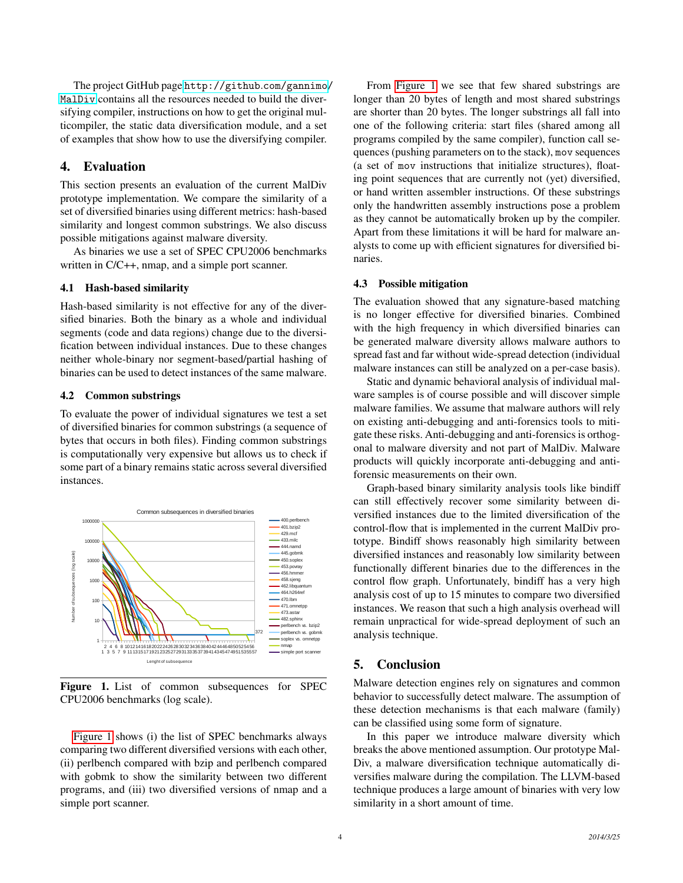The project GitHub page [http://github](http://github.com/gannimo/MalDiv).com/gannimo/ [MalDiv](http://github.com/gannimo/MalDiv) contains all the resources needed to build the diversifying compiler, instructions on how to get the original multicompiler, the static data diversification module, and a set of examples that show how to use the diversifying compiler.

# <span id="page-3-0"></span>4. Evaluation

This section presents an evaluation of the current MalDiv prototype implementation. We compare the similarity of a set of diversified binaries using different metrics: hash-based similarity and longest common substrings. We also discuss possible mitigations against malware diversity.

As binaries we use a set of SPEC CPU2006 benchmarks written in  $C/C++$ , nmap, and a simple port scanner.

## 4.1 Hash-based similarity

Hash-based similarity is not effective for any of the diversified binaries. Both the binary as a whole and individual segments (code and data regions) change due to the diversification between individual instances. Due to these changes neither whole-binary nor segment-based/partial hashing of binaries can be used to detect instances of the same malware.

### 4.2 Common substrings

To evaluate the power of individual signatures we test a set of diversified binaries for common substrings (a sequence of bytes that occurs in both files). Finding common substrings is computationally very expensive but allows us to check if some part of a binary remains static across several diversified instances.



<span id="page-3-2"></span>Figure 1. List of common subsequences for SPEC CPU2006 benchmarks (log scale).

[Figure 1](#page-3-2) shows (i) the list of SPEC benchmarks always comparing two different diversified versions with each other, (ii) perlbench compared with bzip and perlbench compared with gobmk to show the similarity between two different programs, and (iii) two diversified versions of nmap and a simple port scanner.

From [Figure 1](#page-3-2) we see that few shared substrings are longer than 20 bytes of length and most shared substrings are shorter than 20 bytes. The longer substrings all fall into one of the following criteria: start files (shared among all programs compiled by the same compiler), function call sequences (pushing parameters on to the stack), mov sequences (a set of mov instructions that initialize structures), floating point sequences that are currently not (yet) diversified, or hand written assembler instructions. Of these substrings only the handwritten assembly instructions pose a problem as they cannot be automatically broken up by the compiler. Apart from these limitations it will be hard for malware analysts to come up with efficient signatures for diversified binaries.

#### 4.3 Possible mitigation

The evaluation showed that any signature-based matching is no longer effective for diversified binaries. Combined with the high frequency in which diversified binaries can be generated malware diversity allows malware authors to spread fast and far without wide-spread detection (individual malware instances can still be analyzed on a per-case basis).

Static and dynamic behavioral analysis of individual malware samples is of course possible and will discover simple malware families. We assume that malware authors will rely on existing anti-debugging and anti-forensics tools to mitigate these risks. Anti-debugging and anti-forensics is orthogonal to malware diversity and not part of MalDiv. Malware products will quickly incorporate anti-debugging and antiforensic measurements on their own.

Graph-based binary similarity analysis tools like bindiff can still effectively recover some similarity between diversified instances due to the limited diversification of the control-flow that is implemented in the current MalDiv prototype. Bindiff shows reasonably high similarity between diversified instances and reasonably low similarity between functionally different binaries due to the differences in the control flow graph. Unfortunately, bindiff has a very high analysis cost of up to 15 minutes to compare two diversified instances. We reason that such a high analysis overhead will remain unpractical for wide-spread deployment of such an analysis technique.

## <span id="page-3-1"></span>5. Conclusion

Malware detection engines rely on signatures and common behavior to successfully detect malware. The assumption of these detection mechanisms is that each malware (family) can be classified using some form of signature.

In this paper we introduce malware diversity which breaks the above mentioned assumption. Our prototype Mal-Div, a malware diversification technique automatically diversifies malware during the compilation. The LLVM-based technique produces a large amount of binaries with very low similarity in a short amount of time.